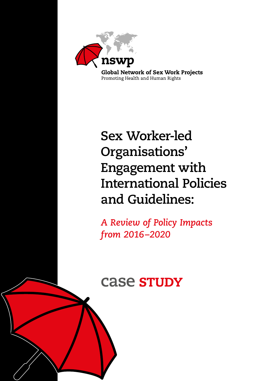

# **Sex Worker-led Organisations' Engagement with International Policies and Guidelines:**

*A Review of Policy Impacts from 2016–2020*

# **Case STUDY**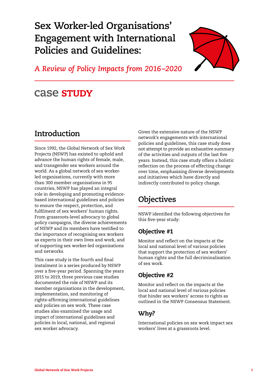**Sex Worker-led Organisations' Engagement with International Policies and Guidelines:** 



*A Review of Policy Impacts from 2016–2020*

# case stupy

## **Introduction**

Since 1992, the Global Network of Sex Work Projects (NSWP) has existed to uphold and advance the human rights of female, male, and transgender sex workers around the world. As a global network of sex workerled organisations, currently with more than 300 member organisations in 95 countries, NSWP has played an integral role in developing and promoting evidencebased international guidelines and policies to ensure the respect, protection, and fulfilment of sex workers' human rights. From grassroots-level advocacy to global policy campaigns, the diverse achievements of NSWP and its members have testified to the importance of recognising sex workers as experts in their own lives and work, and of supporting sex worker-led organisations and networks.

This case study is the fourth and final instalment in a series produced by NSWP over a five-year period. Spanning the years 2015 to 2019, three previous case studies documented the role of NSWP and its member organisations in the development, implementation, and monitoring of rights-affirming international guidelines and policies on sex work. These case studies also examined the usage and impact of international guidelines and policies in local, national, and regional sex worker advocacy.

Given the extensive nature of the NSWP network's engagements with international policies and guidelines, this case study does not attempt to provide an exhaustive summary of the activities and outputs of the last five years. Instead, this case study offers a holistic reflection on the process of effecting change over time, emphasising diverse developments and initiatives which have directly and indirectly contributed to policy change.

# **Objectives**

NSWP identified the following objectives for this five-year study:

#### Objective #1

Monitor and reflect on the impacts at the local and national level of various policies that support the protection of sex workers' human rights and the full decriminalisation of sex work.

#### Objective #2

Monitor and reflect on the impacts at the local and national level of various policies that hinder sex workers' access to rights as outlined in the NSWP Consensus Statement.

#### Why?

International policies on sex work impact sex workers' lives at a grassroots level.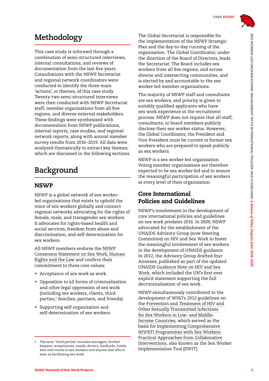

## **Methodology**

This case study is informed through a combination of semi-structured interviews, internal consultations, and reviews of documentation from the last five years. Consultations with the NSWP Secretariat and regional network coordinators were conducted to identify the three main 'actions', or themes, of this case study. Twenty-two semi-structured interviews were then conducted with NSWP Secretariat staff, member organisations from all five regions, and diverse external stakeholders. These findings were synthesised with documentation from NSWP publications, internal reports, case studies, and regional network reports, along with annual member survey results from 2016–2019. All data were analysed thematically to extract key themes, which are discussed in the following sections.

# **Background**

#### **NSWP**

NSWP is a global network of sex workerled organisations that exists to uphold the voice of sex workers globally and connect regional networks advocating for the rights of female, male, and transgender sex workers. It advocates for rights-based health and social services, freedom from abuse and discrimination, and self-determination for sex workers.

All NSWP members endorse the [NSWP](http://www.nswp.org/resource/nswp-consensus-statement-sex-work-human-rights-and-the-law)  [Consensus Statement on Sex Work, Human](http://www.nswp.org/resource/nswp-consensus-statement-sex-work-human-rights-and-the-law)  [Rights and the Law](http://www.nswp.org/resource/nswp-consensus-statement-sex-work-human-rights-and-the-law) and confirm their commitment to three core values:

- Acceptance of sex work as work.
- Opposition to all forms of criminalisation and other legal oppression of sex work (including sex workers, clients, third parties,<sup>1</sup> families, partners, and friends).
- Supporting self-organisation and self-determination of sex workers.

The Global Secretariat is responsible for the implementation of the NSWP Strategic Plan and the day-to-day running of the organisation. The Global Coordinator, under the direction of the Board of Directors, leads the Secretariat. The Board includes sex workers from all five regions, and across diverse and intersecting communities, and is elected by and accountable to the sex worker-led member organisations.

The majority of NSWP staff and consultants are sex workers, and priority is given to suitably qualified applicants who have sex work experience in the recruitment process. NSWP does not require that all staff, consultants, or board members publicly disclose their sex worker status. However, the Global Coordinator, the President and Vice-President must be current or former sex workers who are prepared to speak publicly as sex workers.

NSWP is a sex worker-led organisation. Voting member organisations are therefore expected to be sex worker-led and to ensure the meaningful participation of sex workers at every level of their organisation.

#### Core International Policies and Guidelines

NSWP's involvement in the development of core international policies and guidelines on sex work predates 2016. In 2009, NSWP advocated for the establishment of the UNAIDS Advisory Group (now Steering Committee) on HIV and Sex Work to foster the meaningful involvement of sex workers in the development of UNAIDS guidance. In 2012, the Advisory Group drafted four Annexes, published as part of the updated UNAIDS [Guidance Note on HIV and Sex](https://www.unaids.org/en/resources/documents/2012/20120402_UNAIDS-guidance-note-HIV-sex-work)  [Work,](https://www.unaids.org/en/resources/documents/2012/20120402_UNAIDS-guidance-note-HIV-sex-work) which included the UN's first ever explicit statement supporting the full decriminalisation of sex work.

NSWP simultaneously contributed to the development of WHO's 2012 guidelines on the [Prevention and Treatment of HIV and](https://www.who.int/hiv/pub/guidelines/sex_worker/en/)  [Other Sexually Transmitted Infections](https://www.who.int/hiv/pub/guidelines/sex_worker/en/)  [for Sex Workers in Low- and Middle-](https://www.who.int/hiv/pub/guidelines/sex_worker/en/)[Income Countries](https://www.who.int/hiv/pub/guidelines/sex_worker/en/), which served as the basis for [Implementing Comprehensive](https://www.nswp.org/resource/sex-worker-implementation-tool-swit)  [HIV/STI Programmes with Sex Workers:](https://www.nswp.org/resource/sex-worker-implementation-tool-swit)  [Practical Approaches from Collaborative](https://www.nswp.org/resource/sex-worker-implementation-tool-swit)  [Interventions](https://www.nswp.org/resource/sex-worker-implementation-tool-swit), also known as the Sex Worker Implementation Tool (SWIT).

<sup>1</sup> The term 'third parties' includes managers, brothel keepers, receptionists, maids, drivers, landlords, hotels who rent rooms to sex workers and anyone else who is seen as facilitating sex work.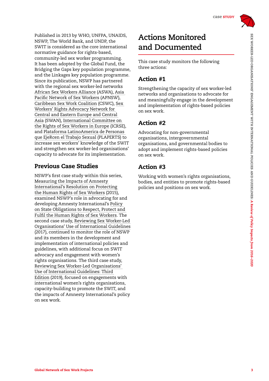

Published in 2013 by WHO, UNFPA, UNAIDS, NSWP, The World Bank, and UNDP, the SWIT is considered as the core international normative guidance for rights-based, community-led sex worker programming. It has been adopted by the Global Fund, the Bridging the Gaps key population programme, and the Linkages key population programme. Since its publication, NSWP has partnered with the regional sex worker-led networks [African Sex Workers Alliance](http://aswaalliance.org/) (ASWA), [Asia](https://apnsw.info/)  [Pacific Network of Sex Workers](https://apnsw.info/) (APNSW), [Caribbean Sex Work Coalition](https://www.nswp.org/featured/caribbean-sex-work-coalition) (CSWC), [Sex](http://www.swannet.org/)  [Workers' Rights Advocacy Network for](http://www.swannet.org/)  [Central and Eastern Europe and Central](http://www.swannet.org/)  [Asia](http://www.swannet.org/) (SWAN), [International Committee on](http://sexworkeurope.org/)  [the Rights of Sex Workers in Europe](http://sexworkeurope.org/) (ICRSE), and [Plataforma LatinoAmerica de Personas](http://plaperts.nswp.org/)  [que EjeRcen el Trabajo Sexual](http://plaperts.nswp.org/) (PLAPERTS) to increase sex workers' knowledge of the SWIT and strengthen sex worker-led organisations' capacity to advocate for its implementation.

#### Previous Case Studies

NSWP's first case study within this series, [Measuring the Impacts of Amnesty](https://www.nswp.org/resource/measuring-the-impacts-amnesty-international-s-resolution-protecting-the-human-rights-sex)  [International's Resolution on Protecting](https://www.nswp.org/resource/measuring-the-impacts-amnesty-international-s-resolution-protecting-the-human-rights-sex)  [the Human Rights of Sex Workers](https://www.nswp.org/resource/measuring-the-impacts-amnesty-international-s-resolution-protecting-the-human-rights-sex) (2015), examined NSWP's role in advocating for and developing Amnesty International's [Policy](https://www.amnesty.org/en/documents/pol30/4062/2016/en/)  [on State Obligations to Respect, Protect and](https://www.amnesty.org/en/documents/pol30/4062/2016/en/)  [Fulfil the Human Rights of Sex Workers](https://www.amnesty.org/en/documents/pol30/4062/2016/en/). The second case study, [Reviewing Sex Worker-Led](https://www.nswp.org/resource/reviewing-sex-worker-led-organisations-use-international-guidelines)  [Organisations' Use of International Guidelines](https://www.nswp.org/resource/reviewing-sex-worker-led-organisations-use-international-guidelines) (2017), continued to monitor the role of NSWP and its members in the development and implementation of international policies and guidelines, with additional focus on SWIT advocacy and engagement with women's rights organisations. The third case study, [Reviewing Sex Worker-Led Organisations'](https://www.nswp.org/resource/case-studies/reviewing-sex-worker-led-organisations-use-international-guidelines)  [Use of International Guidelines: Third](https://www.nswp.org/resource/case-studies/reviewing-sex-worker-led-organisations-use-international-guidelines)  [Edition](https://www.nswp.org/resource/case-studies/reviewing-sex-worker-led-organisations-use-international-guidelines) (2019), focused on engagements with international women's rights organisations, capacity-building to promote the SWIT, and the impacts of Amnesty International's policy on sex work.

# **Actions Monitored and Documented**

This case study monitors the following three actions:

#### Action #1

Strengthening the capacity of sex worker-led networks and organisations to advocate for and meaningfully engage in the development and implementation of rights-based policies on sex work.

### Action #2

Advocating for non-governmental organisations, intergovernmental organisations, and governmental bodies to adopt and implement rights-based policies on sex work.

### Action #3

Working with women's rights organisations, bodies, and entities to promote rights-based policies and positions on sex work.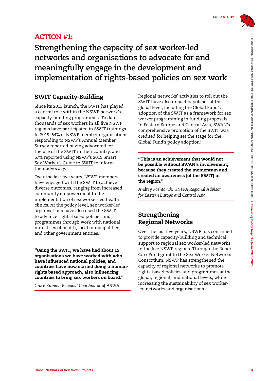

### ACTION #1:

**Strengthening the capacity of sex worker-led networks and organisations to advocate for and meaningfully engage in the development and implementation of rights-based policies on sex work** 

#### SWIT Capacity-Building

Since its 2013 launch, the SWIT has played a central role within the NSWP network's capacity-building programmes. To date, thousands of sex workers in all five NSWP regions have participated in SWIT trainings. In 2019, 64% of NSWP member organisations responding to NSWP's Annual Member Survey reported having advocated for the use of the SWIT in their country, and 67% reported using NSWP's 2015 [Smart](https://www.nswp.org/resource/the-smart-sex-worker-s-guide-swit)  [Sex Worker's Guide to SWIT](https://www.nswp.org/resource/the-smart-sex-worker-s-guide-swit) to inform their advocacy.

Over the last five years, NSWP members have engaged with the SWIT to achieve diverse outcomes, ranging from increased community empowerment to the implementation of sex worker-led health clinics. At the policy level, sex worker-led organisations have also used the SWIT to advance rights-based policies and programmes through work with national ministries of health, local municipalities, and other government entities.

"Using the SWIT, we have had about 15 organisations we have worked with who have influenced national policies, and countries have now started doing a humanrights based approach, also influencing countries to bring sex workers on board."

*Grace Kamau, Regional Coordinator of ASWA*

Regional networks' activities to roll out the SWIT have also impacted policies at the global level, including the Global Fund's adoption of the SWIT as a framework for sex worker programming in funding proposals. In Eastern Europe and Central Asia, SWAN's comprehensive promotion of the SWIT was credited for helping set the stage for the Global Fund's policy adoption:

"This is an achievement that would not be possible without SWAN's involvement, because they created the momentum and created an awareness [of the SWIT] in the region."

*Andrey Poshtaruk, UNFPA Regional Advisor for Eastern Europe and Central Asia* 

#### Strengthening Regional Networks

Over the last five years, NSWP has continued to provide capacity-building and technical support to regional sex worker-led networks in the five NSWP regions. Through the Robert Carr Fund grant to the Sex Worker Networks Consortium, NSWP has strengthened the capacity of regional networks to promote rights-based policies and programmes at the global, regional, and national levels, while increasing the sustainability of sex workerled networks and organisations.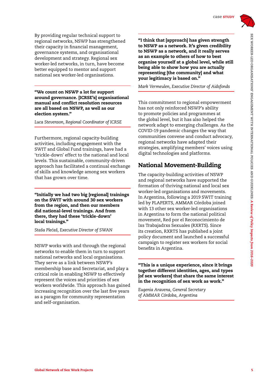

By providing regular technical support to regional networks, NSWP has strengthened their capacity in financial management, governance systems, and organisational development and strategy. Regional sex worker-led networks, in turn, have become better equipped to mentor and support national sex worker-led organisations.

"We count on NSWP a lot for support around governance. [ICRSE's] organisational manual and conflict resolution resources are all based on NSWP, as well as our election system."

*Luca Stevenson, Regional Coordinator of ICRSE*

Furthermore, regional capacity-building activities, including engagement with the SWIT and Global Fund trainings, have had a 'trickle-down' effect to the national and local levels. This sustainable, community-driven approach has facilitated a continual exchange of skills and knowledge among sex workers that has grown over time.

"Initially we had two big [regional] trainings on the SWIT with around 30 sex workers from the region, and then our members did national-level trainings. And from there, they had these 'trickle-down' local trainings."

*Staša Plec´aš, Executive Director of SWAN* 

NSWP works with and through the regional networks to enable them in turn to support national networks and local organisations. They serve as a link between NSWP's membership base and Secretariat, and play a critical role in enabling NSWP to effectively represent the voices and priorities of sex workers worldwide. This approach has gained increasing recognition over the last five years as a paragon for community representation and self-organisation.

"I think that [approach] has given strength to NSWP as a network. It's given credibility to NSWP as a network, and it really serves as an example to others of how to best organise yourself at a global level, while still being able to show how you are actually representing [the community] and what your legitimacy is based on."

*Mark Vermeulen, Executive Director of Aidsfonds*

This commitment to regional empowerment has not only reinforced NSWP's ability to promote policies and programmes at the global level, but it has also helped the network adapt to emerging challenges. As the COVID-19 pandemic changes the way that communities convene and conduct advocacy, regional networks have adapted their strategies, amplifying members' voices using digital technologies and platforms.

#### National Movement-Building

The capacity-building activities of NSWP and regional networks have supported the formation of thriving national and local sex worker-led organisations and movements. In Argentina, following a 2019 SWIT training led by PLAPERTS, AMMAR Córdoba joined with 13 other sex worker-led organisations in Argentina to form the national political movement, Red por el Reconocimiento de lxs Trabajadrxs Sexuales (RXRTS). Since its creation, RXRTS has published a joint policy document and launched a successful campaign to register sex workers for social benefits in Argentina.

"This is a unique experience, since it brings together different identities, ages, and types [of sex workers] that share the same interest in the recognition of sex work as work."

*Eugenia Aravena, General Secretary of AMMAR Córdoba, Argentina*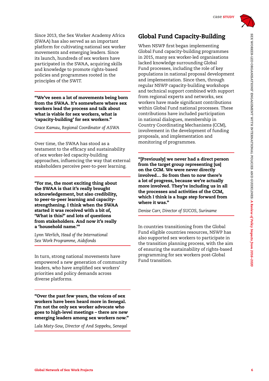Since 2013, the Sex Worker Academy Africa (SWAA) has also served as an important platform for cultivating national sex worker movements and emerging leaders. Since its launch, hundreds of sex workers have participated in the SWAA, acquiring skills and knowledge to promote rights-based policies and programmes rooted in the principles of the SWIT.

"We've seen a lot of movements being born from the SWAA. It's somewhere where sex workers lead the process and talk about what is viable for sex workers, what is 'capacity-building' for sex workers."

*Grace Kamau, Regional Coordinator of ASWA*

Over time, the SWAA has stood as a testament to the efficacy and sustainability of sex worker-led capacity-building approaches, influencing the way that external stakeholders perceive peer-to-peer learning.

"For me, the most exciting thing about the SWAA is that it's really brought acknowledgement, but also credibility, to peer-to-peer learning and capacitystrengthening. I think when the SWAA started it was received with a bit of, 'What is this?' and lots of questions from stakeholders. And now it's really a 'household name.'"

*Lynn Werlich, Head of the International Sex Work Programme, Aidsfonds*

In turn, strong national movements have empowered a new generation of community leaders, who have amplified sex workers' priorities and policy demands across diverse platforms.

"Over the past few years, the voices of sex workers have been heard more in Senegal. I'm not the only sex worker advocate who goes to high-level meetings – there are new emerging leaders among sex workers now."

*Lala Maty-Sow, Director of And Soppeku, Senegal*

#### Global Fund Capacity-Building

When NSWP first began implementing Global Fund capacity-building programmes in 2015, many sex worker-led organisations lacked knowledge surrounding Global Fund processes, including the role of key populations in national proposal development and implementation. Since then, through regular NSWP capacity-building workshops and technical support combined with support from regional experts and networks, sex workers have made significant contributions within Global Fund national processes. These contributions have included participation in national dialogues, membership in Country Coordinating Mechanisms (CCM), involvement in the development of funding proposals, and implementation and monitoring of programmes.

"[Previously] we never had a direct person from the target group representing [us] on the CCM. We were never directly involved… So from then to now there's a lot of progress, because we're actually more involved. They're including us in all the processes and activities of the CCM, which I think is a huge step forward from where it was."

*Denise Carr, Director of SUCOS, Suriname*

In countries transitioning from the Global Fund eligible countries resources, NSWP has also supported sex workers to participate in the transition planning process, with the aim of ensuring the sustainability of rights-based programming for sex workers post-Global Fund transition.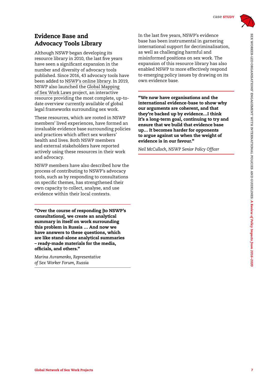

#### Evidence Base and Advocacy Tools Library

Although NSWP began developing its resource library in 2010, the last five years have seen a significant expansion in the number and diversity of advocacy tools published. Since 2016, 43 advocacy tools have been added to [NSWP's online library.](https://www.nswp.org/resources/types/nswp-publications) In 2019, NSWP also launched the [Global Mapping](https://www.nswp.org/sex-work-laws-map)  [of Sex Work Laws](https://www.nswp.org/sex-work-laws-map) project, an interactive resource providing the most complete, up-todate overview currently available of global legal frameworks surrounding sex work.

These resources, which are rooted in NSWP members' lived experiences, have formed an invaluable evidence base surrounding policies and practices which affect sex workers' health and lives. Both NSWP members and external stakeholders have reported actively using these resources in their work and advocacy.

NSWP members have also described how the process of contributing to NSWP's advocacy tools, such as by responding to consultations on specific themes, has strengthened their own capacity to collect, analyse, and use evidence within their local contexts.

"Over the course of responding [to NSWP's consultations], we create an analytical summary in itself on work surrounding this problem in Russia … And now we have answers to these questions, which are like stand-alone analytical summaries – ready-made materials for the media, officials, and others."

*Marina Avramenko, Representative of Sex Worker Forum, Russia*

In the last five years, NSWP's evidence base has been instrumental in garnering international support for decriminalisation, as well as challenging harmful and misinformed positions on sex work. The expansion of this resource library has also enabled NSWP to more effectively respond to emerging policy issues by drawing on its own evidence base.

"We now have organisations and the international evidence-base to show why our arguments are coherent, and that they're backed up by evidence…I think it's a long-term goal, continuing to try and ensure that we build that evidence base up… It becomes harder for opponents to argue against us when the weight of evidence is in our favour."

*Neil McCulloch, NSWP Senior Policy Officer*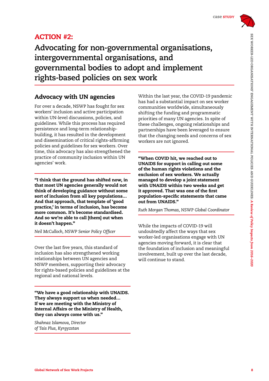

## ACTION #2:

**Advocating for non-governmental organisations, intergovernmental organisations, and governmental bodies to adopt and implement rights-based policies on sex work**

#### Advocacy with UN agencies

For over a decade, NSWP has fought for sex workers' inclusion and active participation within UN-level discussions, policies, and guidelines. While this process has required persistence and long-term relationshipbuilding, it has resulted in the development and dissemination of critical rights-affirming policies and guidelines for sex workers. Over time, this advocacy has also strengthened the practice of community inclusion within UN agencies' work.

"I think that the ground has shifted now, in that most UN agencies generally would not think of developing guidance without some sort of inclusion from all key populations… And that approach, that template of 'good practice,' in terms of inclusion, has become more common. It's become standardised. And so we're able to call [them] out when it doesn't happen."

*Neil McCulloch, NSWP Senior Policy Officer*

Over the last five years, this standard of inclusion has also strengthened working relationships between UN agencies and NSWP members, supporting their advocacy for rights-based policies and guidelines at the regional and national levels.

"We have a good relationship with UNAIDS. They always support us when needed… If we are meeting with the Ministry of Internal Affairs or the Ministry of Health, they can always come with us."

*Shahnaz Islamova, Director of Tais Plus, Kyrgyzstan* 

Within the last year, the COVID-19 pandemic has had a substantial impact on sex worker communities worldwide, simultaneously shifting the funding and programmatic priorities of many UN agencies. In spite of these challenges, ongoing relationships and partnerships have been leveraged to ensure that the changing needs and concerns of sex workers are not ignored.

"When COVID hit, we reached out to UNAIDS for support in calling out some of the human rights violations and the exclusion of sex workers. We actually managed to develop a joint statement with UNAIDS within two weeks and get it approved. That was one of the first population-specific statements that came out from UNAIDS."

*Ruth Morgan Thomas, NSWP Global Coordinator* 

While the impacts of COVID-19 will undoubtedly affect the ways that sex worker-led organisations engage with UN agencies moving forward, it is clear that the foundation of inclusion and meaningful involvement, built up over the last decade, will continue to stand.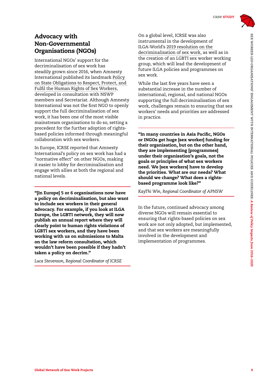

#### Advocacy with Non-Governmental Organisations (NGOs)

International NGOs' support for the decriminalisation of sex work has steadily grown since 2016, when Amnesty International published its landmark [Policy](https://www.amnesty.org/en/documents/pol30/4062/2016/en/)  [on State Obligations to Respect, Protect, and](https://www.amnesty.org/en/documents/pol30/4062/2016/en/)  [Fulfil the Human Rights of Sex Workers](https://www.amnesty.org/en/documents/pol30/4062/2016/en/), developed in consultation with NSWP members and Secretariat. Although Amnesty International was not the first NGO to openly support the full decriminalisation of sex work, it has been one of the most visible mainstream organisations to do so, setting a precedent for the further adoption of rightsbased policies informed through meaningful collaboration with sex workers.

In Europe, ICRSE reported that Amnesty International's policy on sex work has had a "normative effect" on other NGOs, making it easier to lobby for decriminalisation and engage with allies at both the regional and national levels.

"[In Europe] 5 or 6 organisations now have a policy on decriminalisation, but also want to include sex workers in their general advocacy. For example, if you look at ILGA Europe, the LGBTI network, they will now publish an annual report where they will clearly point to human rights violations of LGBTI sex workers, and they have been working with us on submissions to Malta on the law reform consultation, which wouldn't have been possible if they hadn't taken a policy on decrim."

*Luca Stevenson, Regional Coordinator of ICRSE*

On a global level, ICRSE was also instrumental in the development of ILGA-World's [2019 resolution on the](https://ilga.org/sex-work-lgbti-organisations-call-for-decriminalisation)  [decriminalisation of sex work,](https://ilga.org/sex-work-lgbti-organisations-call-for-decriminalisation) as well as in the creation of an LGBTI sex worker working group, which will lead the development of future ILGA policies and programmes on sex work.

While the last five years have seen a substantial increase in the number of international, regional, and national NGOs supporting the full decriminalisation of sex work, challenges remain to ensuring that sex workers' needs and priorities are addressed in practice.

"In many countries in Asia Pacific, NGOs or INGOs get huge [sex worker] funding for their organisation, but on the other hand, they are implementing [programmes] under their organisation's goals, not the goals or principles of what sex workers need. We [sex workers] have to develop the priorities. What are our needs? What should we change? What does a rightsbased programme look like?"

*KayThi Win, Regional Coordinator of APNSW*

In the future, continued advocacy among diverse NGOs will remain essential to ensuring that rights-based policies on sex work are not only adopted, but implemented, and that sex workers are meaningfully involved in the development and implementation of programmes.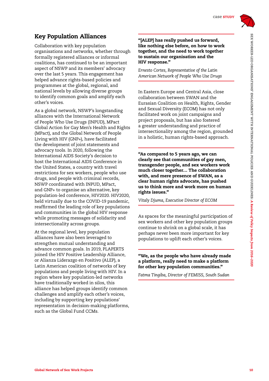

#### Key Population Alliances

Collaboration with key population organisations and networks, whether through formally registered alliances or informal coalitions, has continued to be an important aspect of NSWP and its members' advocacy over the last 5 years. This engagement has helped advance rights-based policies and programmes at the global, regional, and national levels by allowing diverse groups to identify common goals and amplify each other's voices.

As a global network, NSWP's longstanding alliances with the International Network of People Who Use Drugs (INPUD), MPact Global Action for Gay Men's Health and Rights (MPact), and the Global Network of People Living with HIV (GNP+), have facilitated the development of joint statements and advocacy tools. In 2020, following the International AIDS Society's decision to host the International AIDS Conference in the United States, a country with travel restrictions for sex workers, people who use drugs, and people with criminal records, NSWP coordinated with INPUD, MPact, and GNP+ to organise an alternative, key population-led conference, HIV2020. HIV2020, held virtually due to the COVID-19 pandemic, reaffirmed the leading role of key populations and communities in the global HIV response while promoting messages of solidarity and intersectionality across groups.

At the regional level, key population alliances have also been leveraged to strengthen mutual understanding and advance common goals. In 2019, PLAPERTS joined the HIV Positive Leadership Alliance, or Alianza Liderazgo en Positivo (ALEP), a Latin American coalition of networks of key populations and people living with HIV. In a region where key population-led networks have traditionally worked in silos, this alliance has helped groups identify common challenges and amplify each other's voices, including by supporting key populations' representation in decision-making platforms, such as the Global Fund CCMs.

#### "[ALEP] has really pushed us forward, like nothing else before, on how to work together, and the need to work together to sustain our organisation and the HIV response."

*Ernesto Cortes, Representative of the Latin American Network of People Who Use Drugs*

In Eastern Europe and Central Asia, close collaboration between SWAN and the Eurasian Coalition on Health, Rights, Gender and Sexual Diversity (ECOM) has not only facilitated work on joint campaigns and project proposals, but has also fostered a greater understanding and practice of intersectionality among the region, grounded in a holistic, human rights-based approach.

"As compared to 5 years ago, we can clearly see that communities of gay men, transgender people, and sex workers work much closer together… The collaboration with, and mere presence of SWAN, as a clear human rights advocate, has pushed us to think more and work more on human rights issues."

*Vitaly Djuma, Executive Director of ECOM*

As spaces for the meaningful participation of sex workers and other key population groups continue to shrink on a global scale, it has perhaps never been more important for key populations to uplift each other's voices.

#### "We, as the people who have already made a platform, really need to make a platform for other key population communities."

*Fatma Tingiba, Director of FEMISS, South Sudan*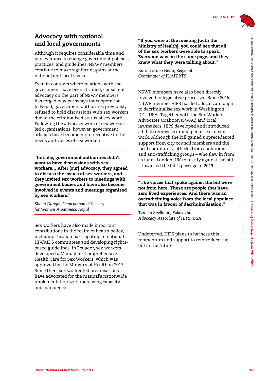

#### Advocacy with national and local governments

Although it requires considerable time and perseverance to change government policies, practices, and guidelines, NSWP members continue to make significant gains at the national and local levels.

Even in contexts where relations with the government have been strained, consistent advocacy on the part of NSWP members has forged new pathways for cooperation. In Nepal, government authorities previously refused to hold discussions with sex workers due to the criminalised status of sex work. Following the advocacy work of sex workerled organisations, however, government officials have become more receptive to the needs and voices of sex workers.

"Initially, government authorities didn't want to have discussions with sex workers… After [our] advocacy, they agreed to discuss the issues of sex workers, and they invited sex workers to meetings with government bodies and have also become involved in events and meetings organised by sex workers."

*Shova Dangol, Chairperson of Society for Women Awareness Nepal*

Sex workers have also made important contributions in the realm of health policy, including through participating in national HIV/AIDS committees and developing rightsbased guidelines. In Ecuador, sex workers developed a Manual for Comprehensive Health Care for Sex Workers, which was approved by the Ministry of Health in 2017. Since then, sex worker-led organisations have advocated for the manual's nationwide implementation with increasing capacity and confidence.

"If you were at the meeting [with the Ministry of Health], you could see that all of the sex workers were able to speak. Everyone was on the same page, and they knew what they were talking about."

*Karina Bravo Neira, Regional Coordinator of PLAPERTS*

NSWP members have also been directly involved in legislative processes. Since 2016, NSWP member HIPS has led a local campaign to decriminalise sex work in Washington, D.C., USA. Together with the Sex Worker Advocates Coalition (SWAC) and local lawmakers, HIPS developed and introduced a bill to remove criminal penalties for sex work. Although the bill gained unprecedented support from city council members and the local community, attacks from abolitionist and anti-trafficking groups – who flew in from as far as London, UK to testify against the bill – thwarted the bill's passage in 2019.

"The voices that spoke against the bill were not from here. These are people that have zero lived experiences. And there was an overwhelming voice from the local populace that was in favour of decriminalisation."

*Tamika Spellman, Policy and Advocacy Associate of HIPS, USA*

Undeterred, HIPS plans to harness this momentum and support to reintroduce the bill in the future.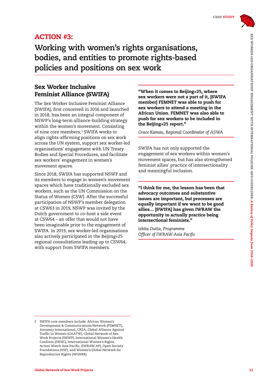

### ACTION #3:

**Working with women's rights organisations, bodies, and entities to promote rights-based policies and positions on sex work**

#### Sex Worker Inclusive Feminist Alliance (SWIFA)

The Sex Worker Inclusive Feminist Alliance (SWIFA), first conceived in 2016 and launched in 2018, has been an integral component of NSWP's long-term alliance-building strategy within the women's movement. Consisting of nine core members,2 SWIFA works to align rights-affirming positions on sex work across the UN system, support sex worker-led organisations' engagement with UN Treaty Bodies and Special Procedures, and facilitate sex workers' engagement in women's movement spaces.

Since 2018, SWIFA has supported NSWP and its members to engage in women's movement spaces which have traditionally excluded sex workers, such as the UN Commission on the Status of Women (CSW). After the successful participation of NSWP's member delegation at CSW63 in 2019, NSWP was invited by the Dutch government to co-host a side event at CSW64 – an offer that would not have been imaginable prior to the engagement of SWIFA. In 2019, sex worker-led organisations also actively participated in the Beijing+25 regional consultations leading up to CSW64, with support from SWIFA members.

"When it comes to Beijing+25, where sex workers were not a part of it, [SWIFA member] FEMNET was able to push for sex workers to attend a meeting in the African Union. FEMNET was also able to push for sex workers to be included in the Beijing+25 report."

*Grace Kamau, Regional Coordinator of ASWA*

SWIFA has not only supported the engagement of sex workers within women's movement spaces, but has also strengthened feminist allies' practice of intersectionality and meaningful inclusion.

"I think for me, the lesson has been that advocacy outcomes and substantive issues are important, but processes are equally important if we want to be good allies… [SWIFA] has given IWRAW the opportunity to actually practice being intersectional feminists."

*Ishita Dutta, Programme Officer of IWRAW-Asia Pacific*

<sup>2</sup> SWIFA core members include: African Women's Development & Communications Network (FEMNET), Amnesty International, CREA, Global Alliance Against Traffic in Women (GAATW), Global Network of Sex Work Projects (NSWP), International Women's Health Coalition (IWHC), International Women's Rights Action Watch Asia Pacific, (IWRAW-AP), Open Society Foundations (OSF), and Women's Global Network for Reproductive Rights (WGNRR).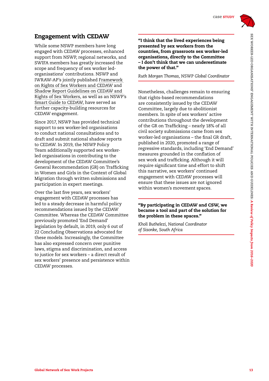

#### Engagement with CEDAW

While some NSWP members have long engaged with CEDAW processes, enhanced support from NSWP, regional networks, and SWIFA members has greatly increased the scope and frequency of sex worker ledorganisations' contributions. NSWP and IWRAW-AP's jointly published [Framework](https://www.nswp.org/resource/framework-rights-sex-workers-and-cedaw)  [on Rights of Sex Workers and CEDAW](https://www.nswp.org/resource/framework-rights-sex-workers-and-cedaw) and [Shadow Report Guidelines on CEDAW and](https://www.nswp.org/resource/shadow-report-guidelines-cedaw-and-rights-sex-workers)  [Rights of Sex Workers](https://www.nswp.org/resource/shadow-report-guidelines-cedaw-and-rights-sex-workers), as well as an NSWP's [Smart Guide to CEDAW](https://www.nswp.org/resource/smart-guide-cedaw), have served as further capacity-building resources for CEDAW engagement.

Since 2017, NSWP has provided technical support to sex worker-led organisations to conduct national consultations and to draft and submit national shadow reports to CEDAW. In 2019, the NSWP Policy Team additionally supported sex workerled organisations in contributing to the development of the CEDAW Committee's General Recommendation (GR) on Trafficking in Women and Girls in the Context of Global Migration through written submissions and participation in expert meetings.

Over the last five years, sex workers' engagement with CEDAW processes has led to a steady decrease in harmful policy recommendations issued by the CEDAW Committee. Whereas the CEDAW Committee previously promoted 'End Demand' legislation by default, in 2019, only 6 out of 22 Concluding Observations advocated for these models. Increasingly, the Committee has also expressed concern over punitive laws, stigma and discrimination, and access to justice for sex workers – a direct result of sex workers' presence and persistence within CEDAW processes.

"I think that the lived experiences being presented by sex workers from the countries, from grassroots sex worker-led organisations, directly to the Committee – I don't think that we can underestimate the power of that."

*Ruth Morgan Thomas, NSWP Global Coordinator*

Nonetheless, challenges remain to ensuring that rights-based recommendations are consistently issued by the CEDAW Committee, largely due to abolitionist members. In spite of sex workers' active contributions throughout the development of the GR on Trafficking – nearly 18% of all civil society submissions came from sex worker-led organisations – the final GR draft, published in 2020, promoted a range of regressive standards, including 'End Demand' measures grounded in the conflation of sex work and trafficking. Although it will require significant time and effort to shift this narrative, sex workers' continued engagement with CEDAW processes will ensure that these issues are not ignored within women's movement spaces.

#### "By participating in CEDAW and CSW, we became a tool and part of the solution for the problem in these spaces."

*Kholi Buthelezi, National Coordinator of Sisonke, South Africa*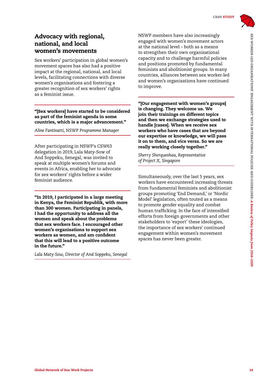

#### Advocacy with regional, national, and local women's movements

Sex workers' participation in global women's movement spaces has also had a positive impact at the regional, national, and local levels, facilitating connections with diverse women's organisations and fostering a greater recognition of sex workers' rights as a feminist issue.

"[Sex workers] have started to be considered as part of the feminist agenda in some countries, which is a major advancement."

*Aline Fantinatti, NSWP Programme Manager*

After participating in NSWP's CSW63 delegation in 2019, Lala Maty-Sow of And Soppeku, Senegal, was invited to speak at multiple women's forums and events in Africa, enabling her to advocate for sex workers' rights before a wider feminist audience.

"In 2019, I participated in a large meeting in Kenya, the Feminist Republik, with more than 300 women. Participating in panels, I had the opportunity to address all the women and speak about the problems that sex workers face. I encouraged other women's organisations to support sex workers as women, and am confident that this will lead to a positive outcome in the future."

*Lala Maty-Sow, Director of And Soppeku, Senegal* 

NSWP members have also increasingly engaged with women's movement actors at the national level – both as a means to strengthen their own organisational capacity and to challenge harmful policies and positions promoted by fundamental feminists and abolitionist groups. In many countries, alliances between sex worker-led and women's organisations have continued to improve.

"[Our engagement with women's groups] is changing. They welcome us. We join their trainings on different topics and then we exchange strategies used to handle [cases]. When we receive sex workers who have cases that are beyond our expertise or knowledge, we will pass it on to them, and vice versa. So we are really working closely together."

*Sherry Sherqueshaa, Representative of Project X, Singapore*

Simultaneously, over the last 5 years, sex workers have encountered increasing threats from fundamental feminists and abolitionist groups promoting 'End Demand,' or 'Nordic Model' legislation, often touted as a means to promote gender equality and combat human trafficking. In the face of intensified efforts from foreign governments and other stakeholders to 'export' these ideologies, the importance of sex workers' continued engagement within women's movement spaces has never been greater.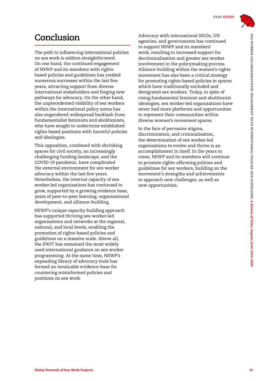

# **Conclusion**

The path to influencing international policies on sex work is seldom straightforward. On one hand, the continued engagement of NSWP and its members with rightsbased policies and guidelines has yielded numerous successes within the last five years, attracting support from diverse international stakeholders and forging new pathways for advocacy. On the other hand, the unprecedented visibility of sex workers within the international policy arena has also engendered widespread backlash from fundamentalist feminists and abolitionists, who have sought to undermine established rights-based positions with harmful policies and ideologies.

This opposition, combined with shrinking spaces for civil society, an increasingly challenging funding landscape, and the COVID-19 pandemic, have complicated the external environment for sex worker advocacy within the last five years. Nonetheless, the internal capacity of sex worker-led organisations has continued to grow, supported by a growing evidence base, years of peer-to-peer learning, organisational development, and alliance-building.

NSWP's unique capacity-building approach has supported thriving sex worker-led organisations and networks at the regional, national, and local levels, enabling the promotion of rights-based policies and guidelines on a massive scale. Above all, the SWIT has remained the most widely used international guidance on sex worker programming. At the same time, NSWP's expanding library of advocacy tools has formed an invaluable evidence-base for countering misinformed policies and positions on sex work.

Advocacy with international NGOs, UN agencies, and governments has continued to support NSWP and its members' work, resulting in increased support for decriminalisation and greater sex worker involvement in the policymaking process. Alliance-building within the women's rights movement has also been a critical strategy for promoting rights-based policies in spaces which have traditionally excluded and denigrated sex workers. Today, in spite of rising fundamental feminist and abolitionist ideologies, sex worker-led organisations have never had more platforms and opportunities to represent their communities within diverse women's movement spaces.

In the face of pervasive stigma, discrimination, and criminalisation, the determination of sex worker-led organisations to evolve and thrive is an accomplishment in itself. In the years to come, NSWP and its members will continue to promote rights-affirming policies and guidelines for sex workers, building on the movement's strengths and achievements to approach new challenges, as well as new opportunities.